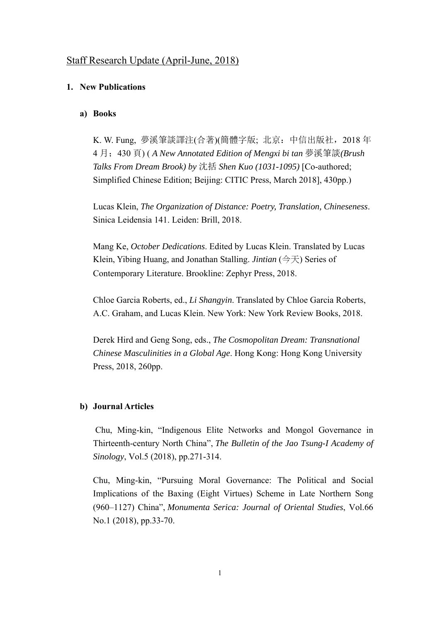# Staff Research Update (April-June, 2018)

## **1. New Publications**

#### **a) Books**

K. W. Fung, 夢溪筆談譯注(合著)(簡體字版; 北京:中信出版社,2018 年 4 月;430 頁) ( *A New Annotated Edition of Mengxi bi tan* 夢溪筆談*(Brush Talks From Dream Brook) by* 沈括 *Shen Kuo (1031-1095)* [Co-authored; Simplified Chinese Edition; Beijing: CITIC Press, March 2018], 430pp.)

Lucas Klein, *The Organization of Distance: Poetry, Translation, Chineseness*. Sinica Leidensia 141. Leiden: Brill, 2018.

Mang Ke, *October Dedications*. Edited by Lucas Klein. Translated by Lucas Klein, Yibing Huang, and Jonathan Stalling. *Jintian* (今天) Series of Contemporary Literature. Brookline: Zephyr Press, 2018.

Chloe Garcia Roberts, ed., *Li Shangyin*. Translated by Chloe Garcia Roberts, A.C. Graham, and Lucas Klein. New York: New York Review Books, 2018.

Derek Hird and Geng Song, eds., *The Cosmopolitan Dream: Transnational Chinese Masculinities in a Global Age*. Hong Kong: Hong Kong University Press, 2018, 260pp.

### **b) Journal Articles**

 Chu, Ming-kin, "Indigenous Elite Networks and Mongol Governance in Thirteenth-century North China", *The Bulletin of the Jao Tsung-I Academy of Sinology*, Vol.5 (2018), pp.271-314.

Chu, Ming-kin, "Pursuing Moral Governance: The Political and Social Implications of the Baxing (Eight Virtues) Scheme in Late Northern Song (960–1127) China", *Monumenta Serica: Journal of Oriental Studies*, Vol.66 No.1 (2018), pp.33-70.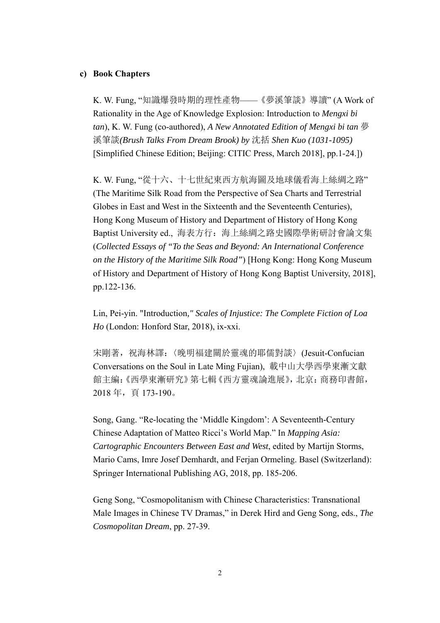#### **c) Book Chapters**

K. W. Fung, "知識爆發時期的理性產物——《夢溪筆談》導讀" (A Work of Rationality in the Age of Knowledge Explosion: Introduction to *Mengxi bi tan*), K. W. Fung (co-authored), *A New Annotated Edition of Mengxi bi tan* 夢 溪筆談*(Brush Talks From Dream Brook) by* 沈括 *Shen Kuo (1031-1095)* [Simplified Chinese Edition; Beijing: CITIC Press, March 2018], pp.1-24.])

K. W. Fung, "從十六、十七世紀東西方航海圖及地球儀看海上絲綢之路" (The Maritime Silk Road from the Perspective of Sea Charts and Terrestrial Globes in East and West in the Sixteenth and the Seventeenth Centuries), Hong Kong Museum of History and Department of History of Hong Kong Baptist University ed., 海表方行:海上絲綢之路史國際學術研討會論文集 (*Collected Essays of "To the Seas and Beyond: An International Conference on the History of the Maritime Silk Road"*) [Hong Kong: Hong Kong Museum of History and Department of History of Hong Kong Baptist University, 2018], pp.122-136.

Lin, Pei-yin. "Introduction*," Scales of Injustice: The Complete Fiction of Loa Ho* (London: Honford Star, 2018), ix-xxi.

宋剛著, 祝海林譯:〈晚明福建關於靈魂的耶儒對談〉(Jesuit-Confucian Conversations on the Soul in Late Ming Fujian), 載中山大學西學東漸文獻 館主編:《西學東漸研究》第七輯《西方靈魂論進展》,北京:商務印書館, 2018 年,頁 173-190。

Song, Gang. "Re-locating the 'Middle Kingdom': A Seventeenth-Century Chinese Adaptation of Matteo Ricci's World Map." In *Mapping Asia: Cartographic Encounters Between East and West*, edited by Martijn Storms, Mario Cams, Imre Josef Demhardt, and Ferjan Ormeling. Basel (Switzerland): Springer International Publishing AG, 2018, pp. 185-206.

Geng Song, "Cosmopolitanism with Chinese Characteristics: Transnational Male Images in Chinese TV Dramas," in Derek Hird and Geng Song, eds., *The Cosmopolitan Dream*, pp. 27-39.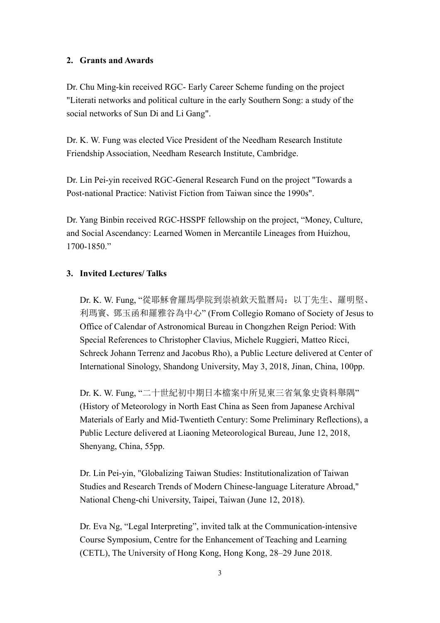## **2. Grants and Awards**

Dr. Chu Ming-kin received RGC- Early Career Scheme funding on the project "Literati networks and political culture in the early Southern Song: a study of the social networks of Sun Di and Li Gang".

Dr. K. W. Fung was elected Vice President of the Needham Research Institute Friendship Association, Needham Research Institute, Cambridge.

Dr. Lin Pei-yin received RGC-General Research Fund on the project "Towards a Post-national Practice: Nativist Fiction from Taiwan since the 1990s".

Dr. Yang Binbin received RGC-HSSPF fellowship on the project, "Money, Culture, and Social Ascendancy: Learned Women in Mercantile Lineages from Huizhou, 1700-1850."

## **3. Invited Lectures/ Talks**

Dr. K. W. Fung, "從耶穌會羅馬學院到崇禎欽天監曆局:以丁先生、羅明堅、 利瑪竇、鄧玉函和羅雅谷為中心" (From Collegio Romano of Society of Jesus to Office of Calendar of Astronomical Bureau in Chongzhen Reign Period: With Special References to Christopher Clavius, Michele Ruggieri, Matteo Ricci, Schreck Johann Terrenz and Jacobus Rho), a Public Lecture delivered at Center of International Sinology, Shandong University, May 3, 2018, Jinan, China, 100pp.

Dr. K. W. Fung, "二十世紀初中期日本檔案中所見東三省氣象史資料舉隅" (History of Meteorology in North East China as Seen from Japanese Archival Materials of Early and Mid-Twentieth Century: Some Preliminary Reflections), a Public Lecture delivered at Liaoning Meteorological Bureau, June 12, 2018, Shenyang, China, 55pp.

Dr. Lin Pei-yin, "Globalizing Taiwan Studies: Institutionalization of Taiwan Studies and Research Trends of Modern Chinese-language Literature Abroad," National Cheng-chi University, Taipei, Taiwan (June 12, 2018).

Dr. Eva Ng, "Legal Interpreting", invited talk at the Communication-intensive Course Symposium, Centre for the Enhancement of Teaching and Learning (CETL), The University of Hong Kong, Hong Kong, 28–29 June 2018.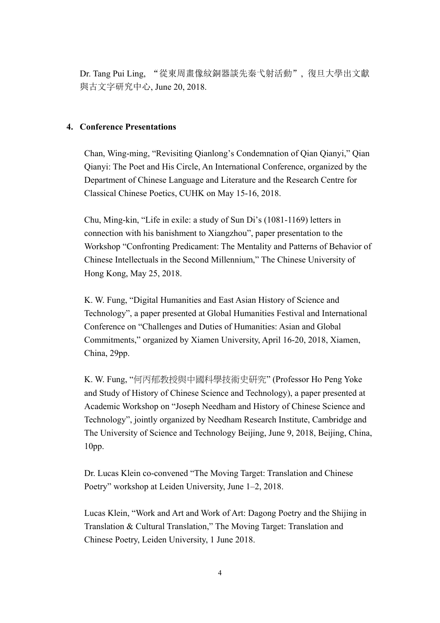Dr. Tang Pui Ling, "從東周畫像紋銅器談先秦弋射活動", 復旦大學出文獻 與古文字研究中心, June 20, 2018.

## **4. Conference Presentations**

Chan, Wing-ming, "Revisiting Qianlong's Condemnation of Qian Qianyi," Qian Qianyi: The Poet and His Circle, An International Conference, organized by the Department of Chinese Language and Literature and the Research Centre for Classical Chinese Poetics, CUHK on May 15-16, 2018.

Chu, Ming-kin, "Life in exile: a study of Sun Di's (1081-1169) letters in connection with his banishment to Xiangzhou", paper presentation to the Workshop "Confronting Predicament: The Mentality and Patterns of Behavior of Chinese Intellectuals in the Second Millennium," The Chinese University of Hong Kong, May 25, 2018.

K. W. Fung, "Digital Humanities and East Asian History of Science and Technology", a paper presented at Global Humanities Festival and International Conference on "Challenges and Duties of Humanities: Asian and Global Commitments," organized by Xiamen University, April 16-20, 2018, Xiamen, China, 29pp.

K. W. Fung, "何丙郁教授與中國科學技術史研究" (Professor Ho Peng Yoke and Study of History of Chinese Science and Technology), a paper presented at Academic Workshop on "Joseph Needham and History of Chinese Science and Technology", jointly organized by Needham Research Institute, Cambridge and The University of Science and Technology Beijing, June 9, 2018, Beijing, China, 10pp.

Dr. Lucas Klein co-convened "The Moving Target: Translation and Chinese Poetry" workshop at Leiden University, June 1–2, 2018.

Lucas Klein, "Work and Art and Work of Art: Dagong Poetry and the Shijing in Translation & Cultural Translation," The Moving Target: Translation and Chinese Poetry, Leiden University, 1 June 2018.